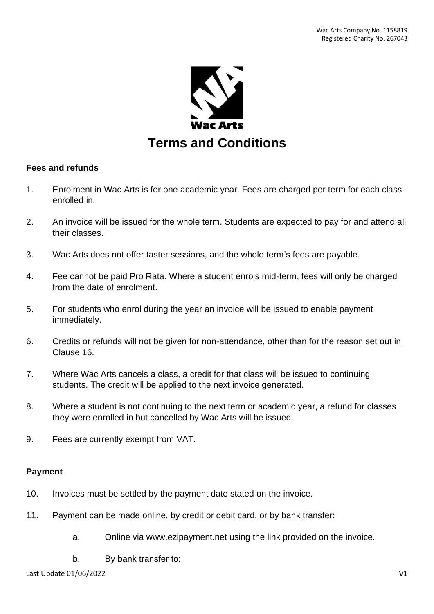

### **Fees and refunds**

- 1. Enrolment in Wac Arts is for one academic year. Fees are charged per term for each class enrolled in.
- 2. An invoice will be issued for the whole term. Students are expected to pay for and attend all their classes.
- 3. Wac Arts does not offer taster sessions, and the whole term's fees are payable.
- 4. Fee cannot be paid Pro Rata. Where a student enrols mid-term, fees will only be charged from the date of enrolment.
- 5. For students who enrol during the year an invoice will be issued to enable payment immediately.
- 6. Credits or refunds will not be given for non-attendance, other than for the reason set out in Clause 16.
- 7. Where Wac Arts cancels a class, a credit for that class will be issued to continuing students. The credit will be applied to the next invoice generated.
- 8. Where a student is not continuing to the next term or academic year, a refund for classes they were enrolled in but cancelled by Wac Arts will be issued.
- 9. Fees are currently exempt from VAT.

#### **Payment**

- 10. Invoices must be settled by the payment date stated on the invoice.
- 11. Payment can be made online, by credit or debit card, or by bank transfer:
	- a. Online via www.ezipayment.net using the link provided on the invoice.
	- b. By bank transfer to:

Last Update 01/06/2022 V1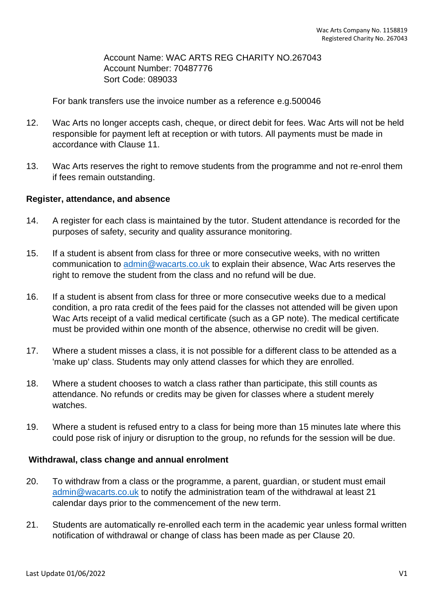Account Name: WAC ARTS REG CHARITY NO.267043 Account Number: 70487776 Sort Code: 089033

For bank transfers use the invoice number as a reference e.g.500046

- 12. Wac Arts no longer accepts cash, cheque, or direct debit for fees. Wac Arts will not be held responsible for payment left at reception or with tutors. All payments must be made in accordance with Clause 11.
- 13. Wac Arts reserves the right to remove students from the programme and not re-enrol them if fees remain outstanding.

#### **Register, attendance, and absence**

- 14. A register for each class is maintained by the tutor. Student attendance is recorded for the purposes of safety, security and quality assurance monitoring.
- 15. If a student is absent from class for three or more consecutive weeks, with no written communication to [admin@wacarts.co.uk](mailto:admin@wacarts.co.uk) to explain their absence, Wac Arts reserves the right to remove the student from the class and no refund will be due.
- 16. If a student is absent from class for three or more consecutive weeks due to a medical condition, a pro rata credit of the fees paid for the classes not attended will be given upon Wac Arts receipt of a valid medical certificate (such as a GP note). The medical certificate must be provided within one month of the absence, otherwise no credit will be given.
- 17. Where a student misses a class, it is not possible for a different class to be attended as a 'make up' class. Students may only attend classes for which they are enrolled.
- 18. Where a student chooses to watch a class rather than participate, this still counts as attendance. No refunds or credits may be given for classes where a student merely watches.
- 19. Where a student is refused entry to a class for being more than 15 minutes late where this could pose risk of injury or disruption to the group, no refunds for the session will be due.

#### **Withdrawal, class change and annual enrolment**

- 20. To withdraw from a class or the programme, a parent, guardian, or student must email [admin@wacarts.co.uk](mailto:admin@wacarts.co.uk) to notify the administration team of the withdrawal at least 21 calendar days prior to the commencement of the new term.
- 21. Students are automatically re-enrolled each term in the academic year unless formal written notification of withdrawal or change of class has been made as per Clause 20.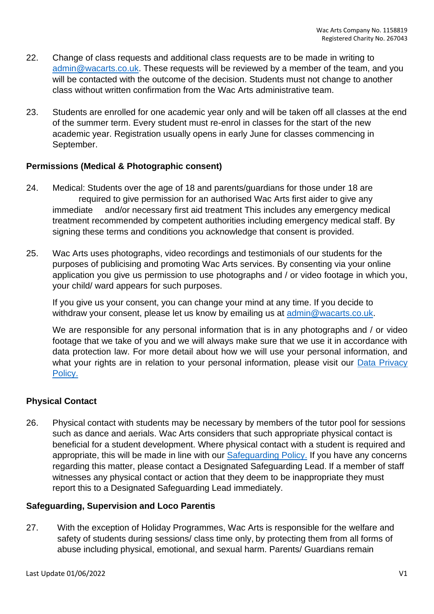- 22. Change of class requests and additional class requests are to be made in writing to [admin@wacarts.co.uk.](mailto:admin@wacarts.co.uk) These requests will be reviewed by a member of the team, and you will be contacted with the outcome of the decision. Students must not change to another class without written confirmation from the Wac Arts administrative team.
- 23. Students are enrolled for one academic year only and will be taken off all classes at the end of the summer term. Every student must re-enrol in classes for the start of the new academic year. Registration usually opens in early June for classes commencing in September.

# **Permissions (Medical & Photographic consent)**

- 24. Medical: Students over the age of 18 and parents/guardians for those under 18 are required to give permission for an authorised Wac Arts first aider to give any immediate and/or necessary first aid treatment This includes any emergency medical treatment recommended by competent authorities including emergency medical staff. By signing these terms and conditions you acknowledge that consent is provided.
- 25. Wac Arts uses photographs, video recordings and testimonials of our students for the purposes of publicising and promoting Wac Arts services. By consenting via your online application you give us permission to use photographs and / or video footage in which you, your child/ ward appears for such purposes.

If you give us your consent, you can change your mind at any time. If you decide to withdraw your consent, please let us know by emailing us at [admin@wacarts.co.uk.](mailto:admin@wacarts.co.uk)

We are responsible for any personal information that is in any photographs and / or video footage that we take of you and we will always make sure that we use it in accordance with data protection law. For more detail about how we will use your personal information, and what your rights are in relation to your personal information, please visit our Data Privacy Policy.

### **Physical Contact**

26. Physical contact with students may be necessary by members of the tutor pool for sessions such as dance and aerials. Wac Arts considers that such appropriate physical contact is beneficial for a student development. Where physical contact with a student is required and appropriate, this will be made in line with our [Safeguarding Policy.](https://www.wacarts.co.uk/safeguarding-policy) If you have any concerns regarding this matter, please contact a Designated Safeguarding Lead. If a member of staff witnesses any physical contact or action that they deem to be inappropriate they must report this to a Designated Safeguarding Lead immediately.

### **Safeguarding, Supervision and Loco Parentis**

27. With the exception of Holiday Programmes, Wac Arts is responsible for the welfare and safety of students during sessions/ class time only, by protecting them from all forms of abuse including physical, emotional, and sexual harm. Parents/ Guardians remain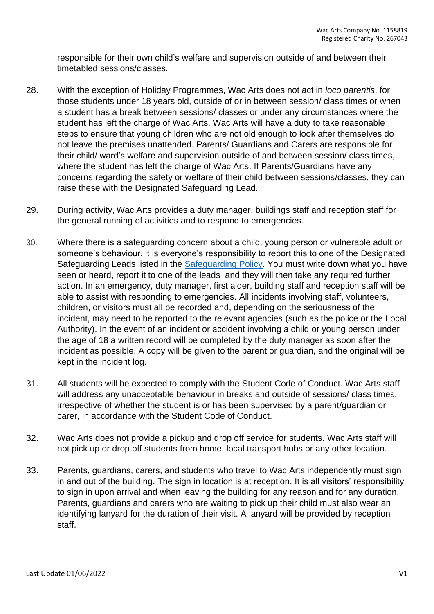responsible for their own child's welfare and supervision outside of and between their timetabled sessions/classes.

- 28. With the exception of Holiday Programmes, Wac Arts does not act in *loco parentis*, for those students under 18 years old, outside of or in between session/ class times or when a student has a break between sessions/ classes or under any circumstances where the student has left the charge of Wac Arts. Wac Arts will have a duty to take reasonable steps to ensure that young children who are not old enough to look after themselves do not leave the premises unattended. Parents/ Guardians and Carers are responsible for their child/ ward's welfare and supervision outside of and between session/ class times, where the student has left the charge of Wac Arts. If Parents/Guardians have any concerns regarding the safety or welfare of their child between sessions/classes, they can raise these with the Designated Safeguarding Lead.
- 29. During activity, Wac Arts provides a duty manager, buildings staff and reception staff for the general running of activities and to respond to emergencies.
- 30. Where there is a safeguarding concern about a child, young person or vulnerable adult or someone's behaviour, it is everyone's responsibility to report this to one of the Designated Safeguarding Leads listed in the [Safeguarding Policy.](https://www.wacarts.co.uk/safeguarding-policy) You must write down what you have seen or heard, report it to one of the leads and they will then take any required further action. In an emergency, duty manager, first aider, building staff and reception staff will be able to assist with responding to emergencies. All incidents involving staff, volunteers, children, or visitors must all be recorded and, depending on the seriousness of the incident, may need to be reported to the relevant agencies (such as the police or the Local Authority). In the event of an incident or accident involving a child or young person under the age of 18 a written record will be completed by the duty manager as soon after the incident as possible. A copy will be given to the parent or guardian, and the original will be kept in the incident log.
- 31. All students will be expected to comply with the [Student Code of Conduct.](https://www.wacarts.co.uk/wp-content/uploads/2022/02/Wac-Arts-Student-Code-Of-Conduct-Approved-14-02-2022.pdf) Wac Arts staff will address any unacceptable behaviour in breaks and outside of sessions/ class times, irrespective of whether the student is or has been supervised by a parent/guardian or carer, in accordance with the Student Code of Conduct.
- 32. Wac Arts does not provide a pickup and drop off service for students. Wac Arts staff will not pick up or drop off students from home, local transport hubs or any other location.
- 33. Parents, guardians, carers, and students who travel to Wac Arts independently must sign in and out of the building. The sign in location is at reception. It is all visitors' responsibility to sign in upon arrival and when leaving the building for any reason and for any duration. Parents, guardians and carers who are waiting to pick up their child must also wear an identifying lanyard for the duration of their visit. A lanyard will be provided by reception staff.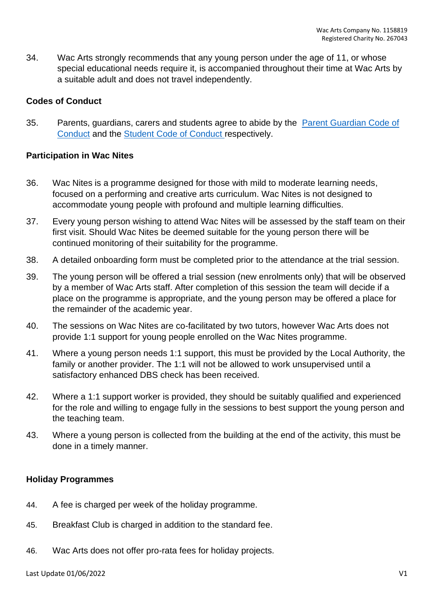34. Wac Arts strongly recommends that any young person under the age of 11, or whose special educational needs require it, is accompanied throughout their time at Wac Arts by a suitable adult and does not travel independently.

# **Codes of Conduct**

35. Parents, guardians, carers and students agree to abide by the [Parent Guardian Code of](https://www.wacarts.co.uk/wp-content/uploads/2022/02/Wac-Arts-Parent-Guardian-Code-of-Conduct.pdf)  [Conduct](https://www.wacarts.co.uk/wp-content/uploads/2022/02/Wac-Arts-Parent-Guardian-Code-of-Conduct.pdf) and the [Student Code of Conduct](https://www.wacarts.co.uk/wp-content/uploads/2022/02/Wac-Arts-Student-Code-Of-Conduct-Approved-14-02-2022.pdf) respectively.

### **Participation in Wac Nites**

- 36. Wac Nites is a programme designed for those with mild to moderate learning needs, focused on a performing and creative arts curriculum. Wac Nites is not designed to accommodate young people with profound and multiple learning difficulties.
- 37. Every young person wishing to attend Wac Nites will be assessed by the staff team on their first visit. Should Wac Nites be deemed suitable for the young person there will be continued monitoring of their suitability for the programme.
- 38. A detailed onboarding form must be completed prior to the attendance at the trial session.
- 39. The young person will be offered a trial session (new enrolments only) that will be observed by a member of Wac Arts staff. After completion of this session the team will decide if a place on the programme is appropriate, and the young person may be offered a place for the remainder of the academic year.
- 40. The sessions on Wac Nites are co-facilitated by two tutors, however Wac Arts does not provide 1:1 support for young people enrolled on the Wac Nites programme.
- 41. Where a young person needs 1:1 support, this must be provided by the Local Authority, the family or another provider. The 1:1 will not be allowed to work unsupervised until a satisfactory enhanced DBS check has been received.
- 42. Where a 1:1 support worker is provided, they should be suitably qualified and experienced for the role and willing to engage fully in the sessions to best support the young person and the teaching team.
- 43. Where a young person is collected from the building at the end of the activity, this must be done in a timely manner.

# **Holiday Programmes**

- 44. A fee is charged per week of the holiday programme.
- 45. Breakfast Club is charged in addition to the standard fee.
- 46. Wac Arts does not offer pro-rata fees for holiday projects.